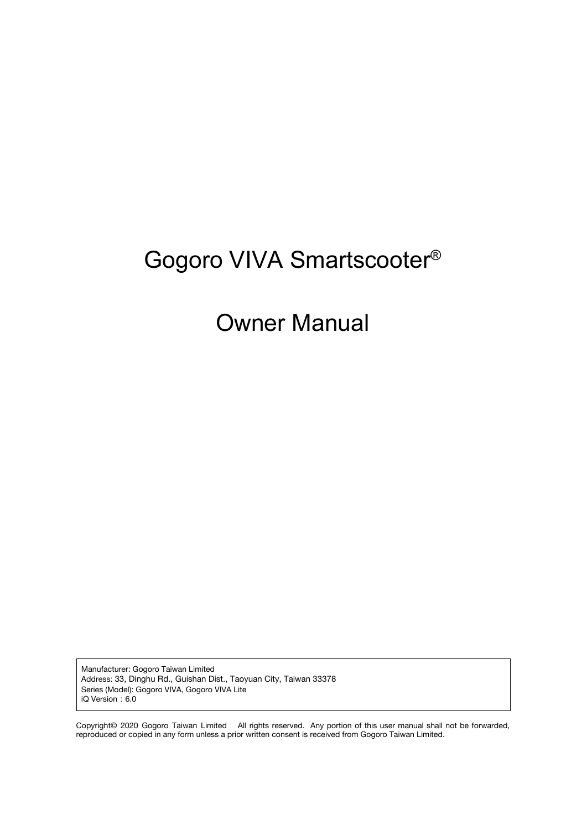# Gogoro VIVA Smartscooter®

# Owner Manual

Manufacturer: Gogoro Taiwan Limited Address: 33, Dinghu Rd., Guishan Dist., Taoyuan City, Taiwan 33378 Series (Model): Gogoro VIVA, Gogoro VIVA Lite iQ Version: 6.0

Copyright© 2020 Gogoro Taiwan Limited All rights reserved. Any portion of this user manual shall not be forwarded, reproduced or copied in any form unless a prior written consent is received from Gogoro Taiwan Limited.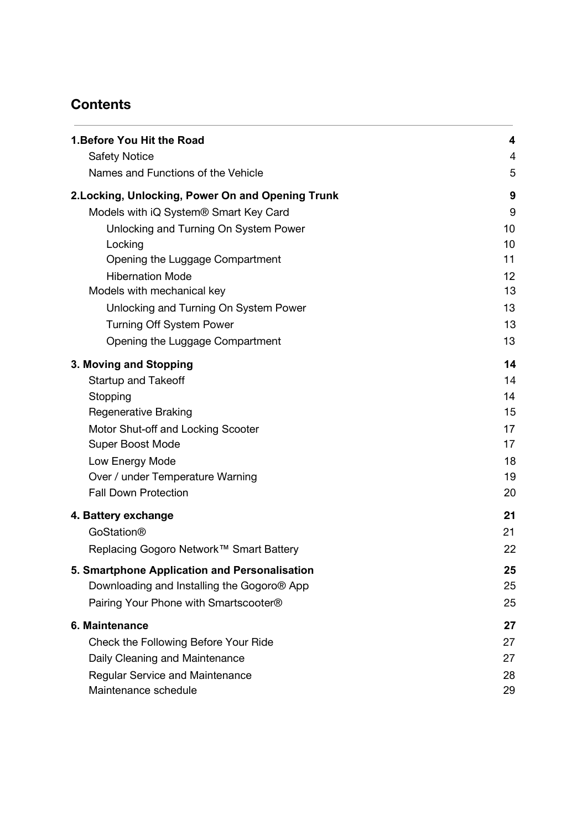# **Contents**

| 1. Before You Hit the Road                                    | 4        |
|---------------------------------------------------------------|----------|
| <b>Safety Notice</b>                                          | 4        |
| Names and Functions of the Vehicle                            | 5        |
| 2. Locking, Unlocking, Power On and Opening Trunk             | 9        |
| Models with iQ System® Smart Key Card                         | 9        |
| Unlocking and Turning On System Power                         | 10       |
| Locking                                                       | 10       |
| Opening the Luggage Compartment                               | 11       |
| <b>Hibernation Mode</b>                                       | 12       |
| Models with mechanical key                                    | 13       |
| Unlocking and Turning On System Power                         | 13<br>13 |
| <b>Turning Off System Power</b>                               | 13       |
| Opening the Luggage Compartment                               |          |
| 3. Moving and Stopping                                        | 14       |
| <b>Startup and Takeoff</b>                                    | 14       |
| Stopping                                                      | 14       |
| <b>Regenerative Braking</b>                                   | 15       |
| Motor Shut-off and Locking Scooter<br><b>Super Boost Mode</b> | 17<br>17 |
| Low Energy Mode                                               | 18       |
| Over / under Temperature Warning                              | 19       |
| <b>Fall Down Protection</b>                                   | 20       |
| 4. Battery exchange                                           | 21       |
| <b>GoStation®</b>                                             | 21       |
| Replacing Gogoro Network™ Smart Battery                       | 22       |
| 5. Smartphone Application and Personalisation                 | 25       |
| Downloading and Installing the Gogoro <sup>®</sup> App        | 25       |
| Pairing Your Phone with Smartscooter®                         | 25       |
| 6. Maintenance                                                | 27       |
| Check the Following Before Your Ride                          | 27       |
| Daily Cleaning and Maintenance                                | 27       |
| <b>Regular Service and Maintenance</b>                        | 28       |
| Maintenance schedule                                          | 29       |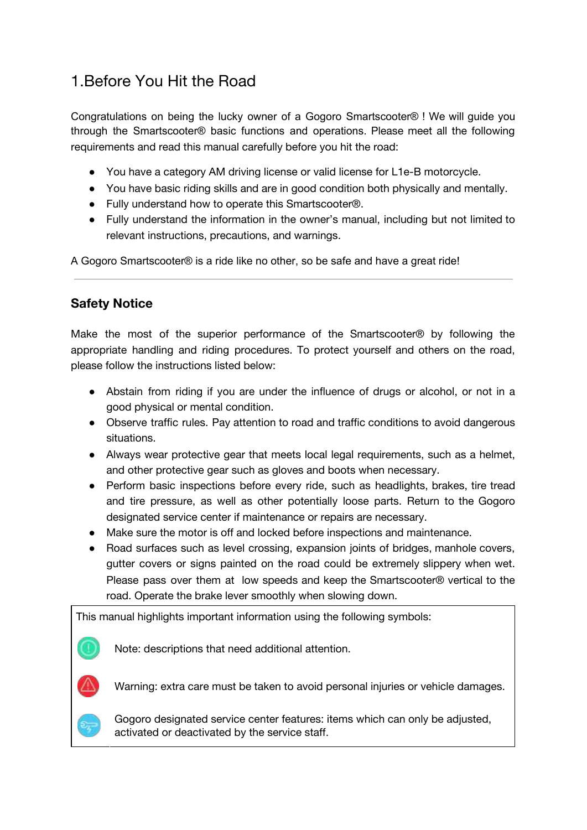# <span id="page-2-0"></span>1.Before You Hit the Road

Congratulations on being the lucky owner of a Gogoro Smartscooter® ! We will guide you through the Smartscooter® basic functions and operations. Please meet all the following requirements and read this manual carefully before you hit the road:

- You have a category AM driving license or valid license for L1e-B motorcycle.
- You have basic riding skills and are in good condition both physically and mentally.
- Fully understand how to operate this Smartscooter<sup>®</sup>.
- Fully understand the information in the owner's manual, including but not limited to relevant instructions, precautions, and warnings.

A Gogoro Smartscooter® is a ride like no other, so be safe and have a great ride!

#### <span id="page-2-1"></span>**Safety Notice**

Make the most of the superior performance of the Smartscooter® by following the appropriate handling and riding procedures. To protect yourself and others on the road, please follow the instructions listed below:

- Abstain from riding if you are under the influence of drugs or alcohol, or not in a good physical or mental condition.
- Observe traffic rules. Pay attention to road and traffic conditions to avoid dangerous situations.
- Always wear protective gear that meets local legal requirements, such as a helmet, and other protective gear such as gloves and boots when necessary.
- Perform basic inspections before every ride, such as headlights, brakes, tire tread and tire pressure, as well as other potentially loose parts. Return to the Gogoro designated service center if maintenance or repairs are necessary.
- Make sure the motor is off and locked before inspections and maintenance.
- Road surfaces such as level crossing, expansion joints of bridges, manhole covers, gutter covers or signs painted on the road could be extremely slippery when wet. Please pass over them at low speeds and keep the Smartscooter® vertical to the road. Operate the brake lever smoothly when slowing down.

This manual highlights important information using the following symbols:

Note: descriptions that need additional attention.

Warning: extra care must be taken to avoid personal injuries or vehicle damages.

Gogoro designated service center features: items which can only be adjusted, activated or deactivated by the service staff.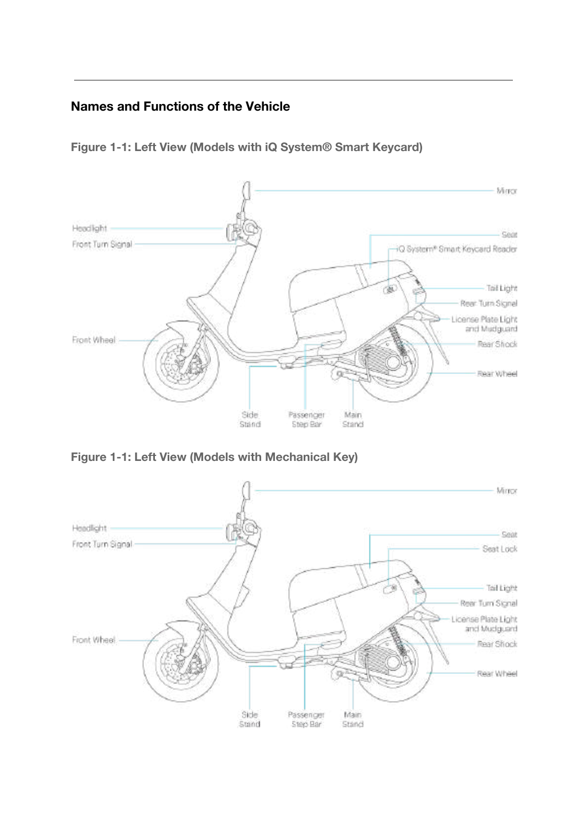### <span id="page-3-0"></span>**Names and Functions of the Vehicle**

**Figure 1-1: Left View (Models with iQ System® Smart Keycard)**



**Figure 1-1: Left View (Models with Mechanical Key)**

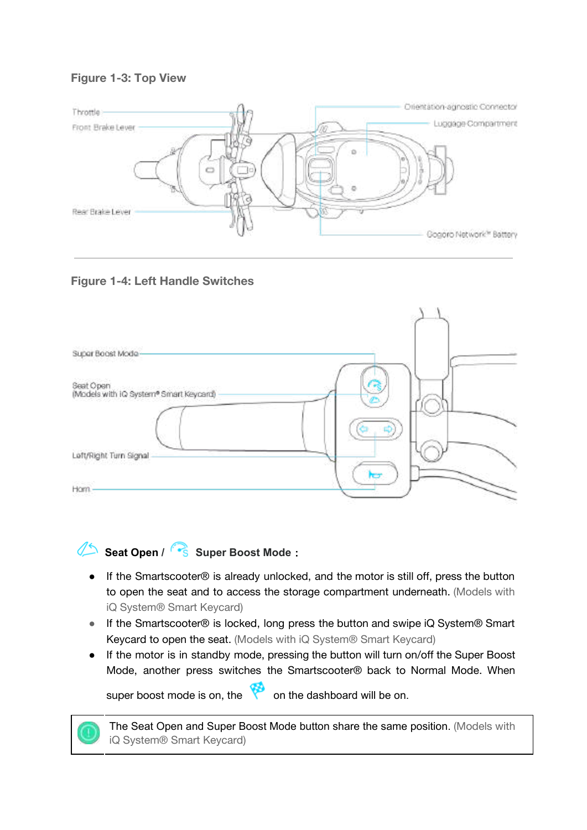#### **Figure 1-3: Top View**







**Seat Open / Super Boost Mode**:

- If the Smartscooter® is already unlocked, and the motor is still off, press the button to open the seat and to access the storage compartment underneath. (Models with iQ System® Smart Keycard)
- If the Smartscooter® is locked, long press the button and swipe iQ System® Smart Keycard to open the seat. (Models with iQ System® Smart Keycard)
- If the motor is in standby mode, pressing the button will turn on/off the Super Boost Mode, another press switches the Smartscooter® back to Normal Mode. When

super boost mode is on, the  $\bullet$  on the dashboard will be on.

The Seat Open and Super Boost Mode button share the same position. (Models with iQ System® Smart Keycard)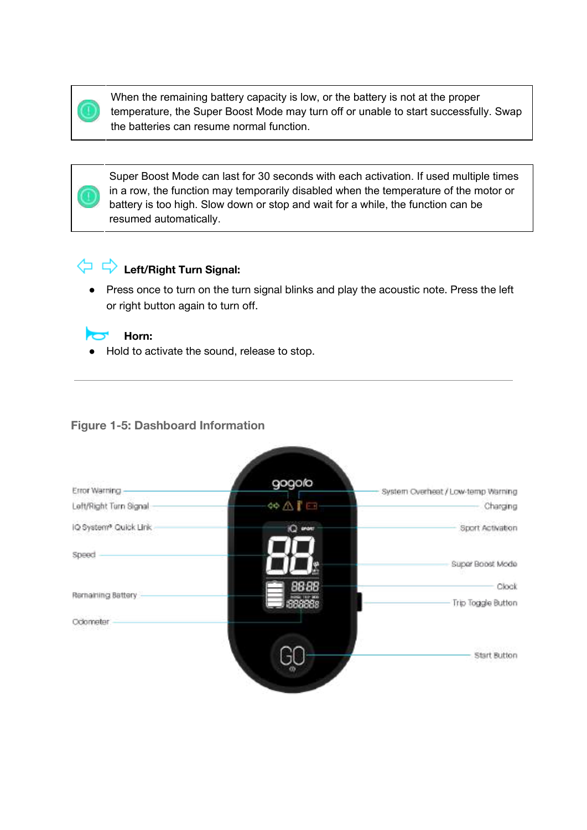When the remaining battery capacity is low, or the battery is not at the proper temperature, the Super Boost Mode may turn off or unable to start successfully. Swap the batteries can resume normal function.

Super Boost Mode can last for 30 seconds with each activation. If used multiple times in a row, the function may temporarily disabled when the temperature of the motor or battery is too high. Slow down or stop and wait for a while, the function can be resumed automatically.

# **Left/Right Turn Signal:**

**Horn:**

● Press once to turn on the turn signal blinks and play the acoustic note. Press the left or right button again to turn off.



● Hold to activate the sound, release to stop.

#### **Figure 1-5: Dashboard Information**



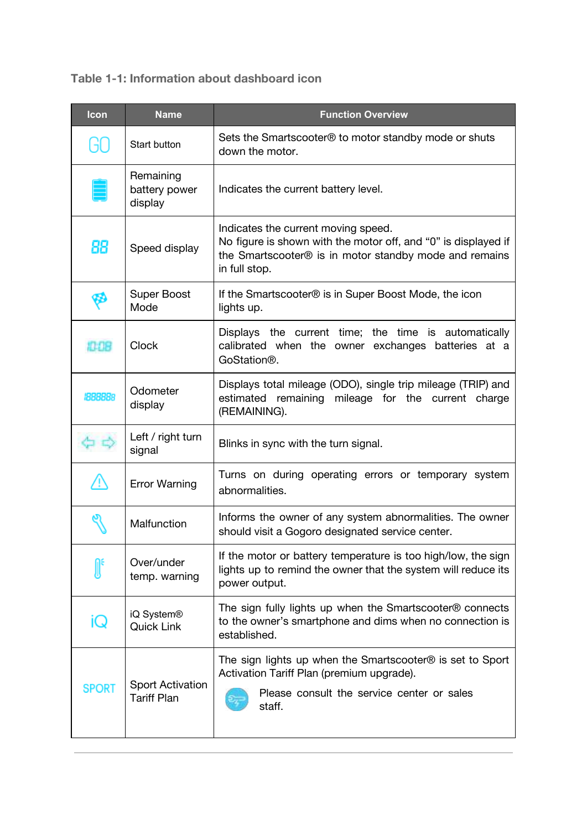**Table 1-1: Information about dashboard icon**

| Icon         | <b>Name</b>                                   | <b>Function Overview</b>                                                                                                                                                         |
|--------------|-----------------------------------------------|----------------------------------------------------------------------------------------------------------------------------------------------------------------------------------|
| GO           | Start button                                  | Sets the Smartscooter® to motor standby mode or shuts<br>down the motor.                                                                                                         |
|              | Remaining<br>battery power<br>display         | Indicates the current battery level.                                                                                                                                             |
| 88           | Speed display                                 | Indicates the current moving speed.<br>No figure is shown with the motor off, and "0" is displayed if<br>the Smartscooter® is in motor standby mode and remains<br>in full stop. |
|              | <b>Super Boost</b><br>Mode                    | If the Smartscooter <sup>®</sup> is in Super Boost Mode, the icon<br>lights up.                                                                                                  |
| 10:08        | <b>Clock</b>                                  | Displays the current time; the time is automatically<br>calibrated when the owner exchanges batteries at a<br>GoStation®.                                                        |
| 1888888      | Odometer<br>display                           | Displays total mileage (ODO), single trip mileage (TRIP) and<br>estimated remaining mileage for the current charge<br>(REMAINING).                                               |
|              | Left / right turn<br>signal                   | Blinks in sync with the turn signal.                                                                                                                                             |
|              | <b>Error Warning</b>                          | Turns on during operating errors or temporary system<br>abnormalities.                                                                                                           |
|              | Malfunction                                   | Informs the owner of any system abnormalities. The owner<br>should visit a Gogoro designated service center.                                                                     |
|              | Over/under<br>temp. warning                   | If the motor or battery temperature is too high/low, the sign<br>lights up to remind the owner that the system will reduce its<br>power output.                                  |
| iQ           | iQ System®<br><b>Quick Link</b>               | The sign fully lights up when the Smartscooter <sup>®</sup> connects<br>to the owner's smartphone and dims when no connection is<br>established.                                 |
| <b>SPORT</b> | <b>Sport Activation</b><br><b>Tariff Plan</b> | The sign lights up when the Smartscooter <sup>®</sup> is set to Sport<br>Activation Tariff Plan (premium upgrade).<br>Please consult the service center or sales<br>staff.       |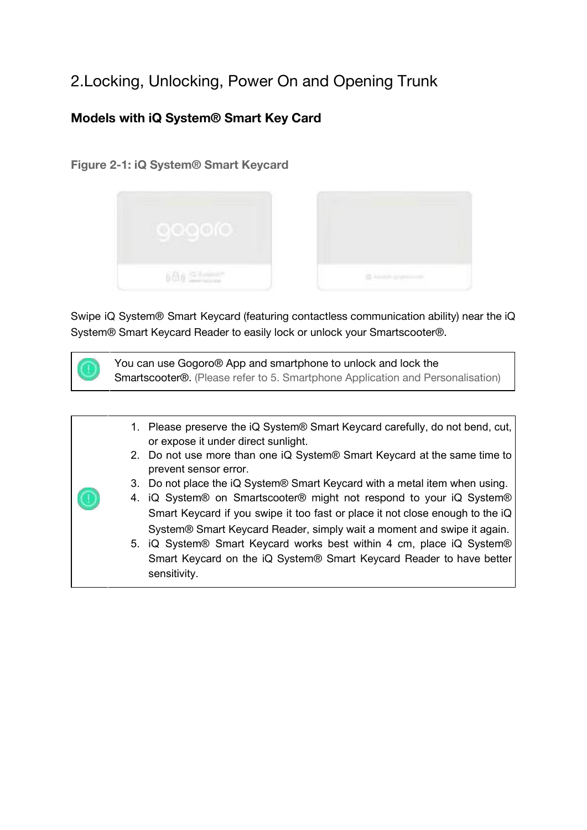# <span id="page-7-0"></span>2.Locking, Unlocking, Power On and Opening Trunk

### <span id="page-7-1"></span>**Models with iQ System® Smart Key Card**

#### **Figure 2-1: iQ System® Smart Keycard**



Swipe iQ System® Smart Keycard (featuring contactless communication ability) near the iQ System® Smart Keycard Reader to easily lock or unlock your Smartscooter®.

You can use Gogoro® App and smartphone to unlock and lock the Smartscooter®. (Please refer to 5. Smartphone Application and Personalisation)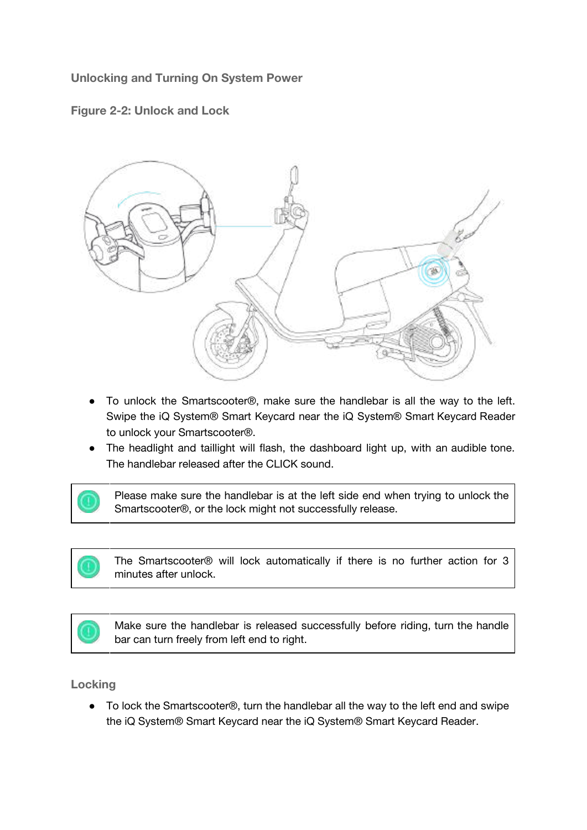<span id="page-8-0"></span>**Unlocking and Turning On System Power**





- To unlock the Smartscooter®, make sure the handlebar is all the way to the left. Swipe the iQ System® Smart Keycard near the iQ System® Smart Keycard Reader to unlock your Smartscooter®.
- The headlight and taillight will flash, the dashboard light up, with an audible tone. The handlebar released after the CLICK sound.

Please make sure the handlebar is at the left side end when trying to unlock the Smartscooter®, or the lock might not successfully release.

The Smartscooter® will lock automatically if there is no further action for 3 minutes after unlock.

Make sure the handlebar is released successfully before riding, turn the handle bar can turn freely from left end to right.

#### <span id="page-8-1"></span>**Locking**

● To lock the Smartscooter<sup>®</sup>, turn the handlebar all the way to the left end and swipe the iQ System® Smart Keycard near the iQ System® Smart Keycard Reader.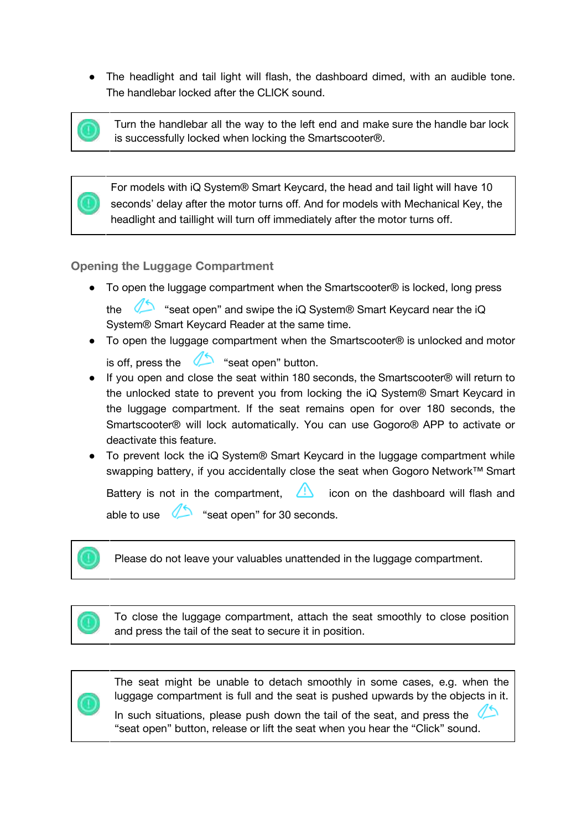● The headlight and tail light will flash, the dashboard dimed, with an audible tone. The handlebar locked after the CLICK sound.



Turn the handlebar all the way to the left end and make sure the handle bar lock is successfully locked when locking the Smartscooter®.

For models with iQ System® Smart Keycard, the head and tail light will have 10 seconds' delay after the motor turns off. And for models with Mechanical Key, the headlight and taillight will turn off immediately after the motor turns off.

#### <span id="page-9-0"></span>**Opening the Luggage Compartment**

● To open the luggage compartment when the Smartscooter<sup>®</sup> is locked, long press

the "seat open" and swipe the iQ System® Smart Keycard near the iQ System® Smart Keycard Reader at the same time.

- To open the luggage compartment when the Smartscooter<sup>®</sup> is unlocked and motor
	- is off, press the  $\sum$  "seat open" button.
- If you open and close the seat within 180 seconds, the Smartscooter® will return to the unlocked state to prevent you from locking the iQ System® Smart Keycard in the luggage compartment. If the seat remains open for over 180 seconds, the Smartscooter® will lock automatically. You can use Gogoro® APP to activate or deactivate this feature.
- To prevent lock the iQ System<sup>®</sup> Smart Keycard in the luggage compartment while swapping battery, if you accidentally close the seat when Gogoro Network™ Smart

Battery is not in the compartment,  $\langle \cdot \rangle$  icon on the dashboard will flash and able to use "seat open" for 30 seconds.

Please do not leave your valuables unattended in the luggage compartment.



To close the luggage compartment, attach the seat smoothly to close position and press the tail of the seat to secure it in position.



The seat might be unable to detach smoothly in some cases, e.g. when the luggage compartment is full and the seat is pushed upwards by the objects in it.

In such situations, please push down the tail of the seat, and press the "seat open" button, release or lift the seat when you hear the "Click" sound.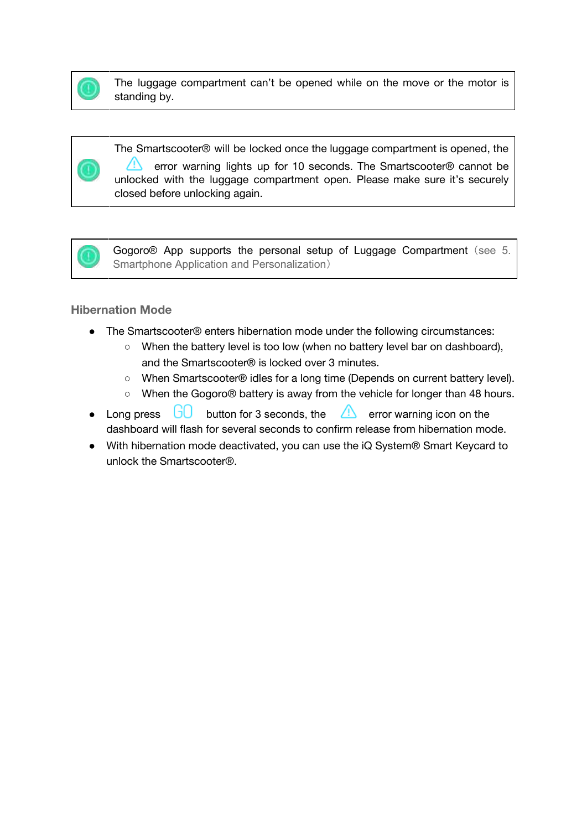

The luggage compartment can't be opened while on the move or the motor is standing by.

The Smartscooter® will be locked once the luggage compartment is opened, the error warning lights up for 10 seconds. The Smartscooter® cannot be unlocked with the luggage compartment open. Please make sure it's securely closed before unlocking again.



Gogoro<sup>®</sup> App supports the personal setup of Luggage Compartment (see 5. Smartphone Application and Personalization)

#### <span id="page-10-0"></span>**Hibernation Mode**

- The Smartscooter® enters hibernation mode under the following circumstances:
	- When the battery level is too low (when no battery level bar on dashboard), and the Smartscooter® is locked over 3 minutes.
	- When Smartscooter® idles for a long time (Depends on current battery level).
	- When the Gogoro® battery is away from the vehicle for longer than 48 hours.
- Long press  $\overline{G}$  button for 3 seconds, the  $\overline{A}$  error warning icon on the dashboard will flash for several seconds to confirm release from hibernation mode.
- With hibernation mode deactivated, you can use the iQ System<sup>®</sup> Smart Keycard to unlock the Smartscooter®.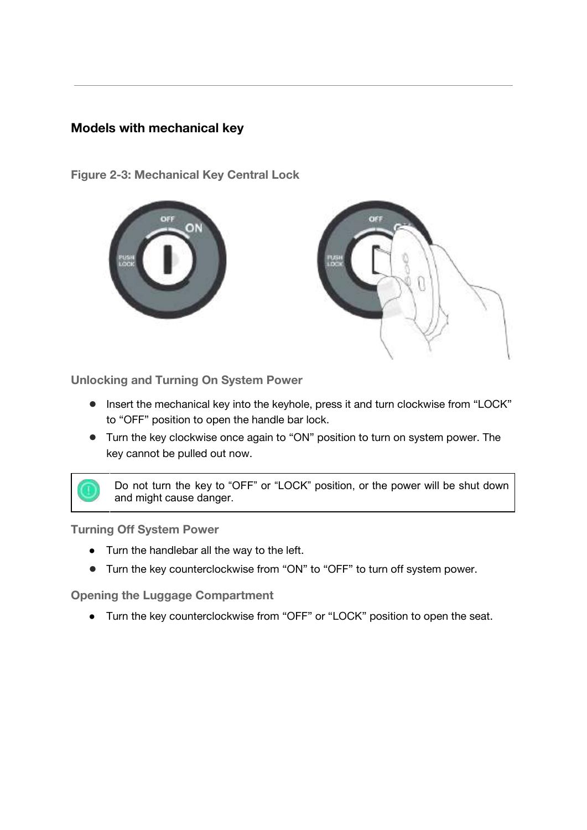#### <span id="page-11-0"></span>**Models with mechanical key**

**Figure 2-3: Mechanical Key Central Lock**





<span id="page-11-1"></span>**Unlocking and Turning On System Power**

- Insert the mechanical key into the keyhole, press it and turn clockwise from "LOCK" to "OFF" position to open the handle bar lock.
- Turn the key clockwise once again to "ON" position to turn on system power. The key cannot be pulled out now.

Do not turn the key to "OFF" or "LOCK" position, or the power will be shut down and might cause danger.

<span id="page-11-2"></span>**Turning Off System Power**

- Turn the handlebar all the way to the left.
- Turn the key counterclockwise from "ON" to "OFF" to turn off system power.

<span id="page-11-3"></span>**Opening the Luggage Compartment**

● Turn the key counterclockwise from "OFF" or "LOCK" position to open the seat.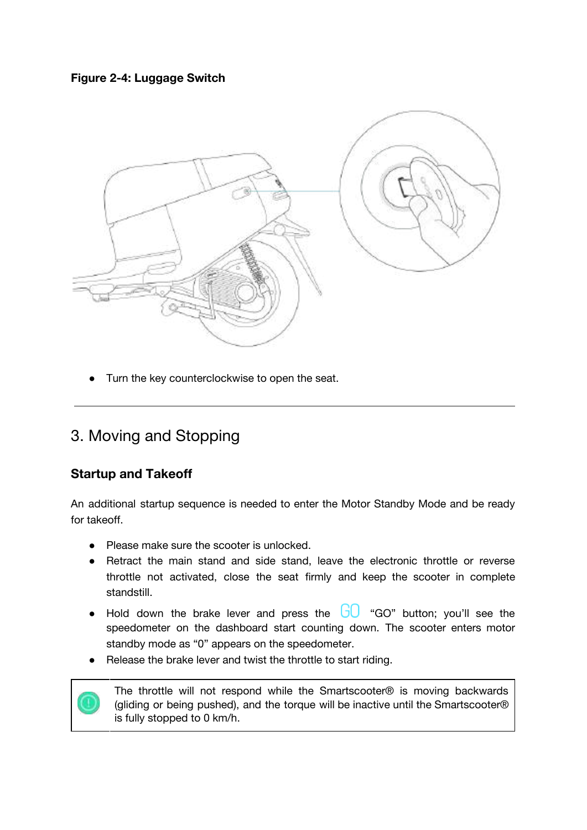



Turn the key counterclockwise to open the seat.

# <span id="page-12-0"></span>3. Moving and Stopping

#### <span id="page-12-1"></span>**Startup and Takeoff**

An additional startup sequence is needed to enter the Motor Standby Mode and be ready for takeoff.

- Please make sure the scooter is unlocked.
- Retract the main stand and side stand, leave the electronic throttle or reverse throttle not activated, close the seat firmly and keep the scooter in complete standstill.
- Hold down the brake lever and press the  $G_0$  "GO" button; you'll see the speedometer on the dashboard start counting down. The scooter enters motor standby mode as "0" appears on the speedometer.
- Release the brake lever and twist the throttle to start riding.



The throttle will not respond while the Smartscooter® is moving backwards (gliding or being pushed), and the torque will be inactive until the Smartscooter® is fully stopped to 0 km/h.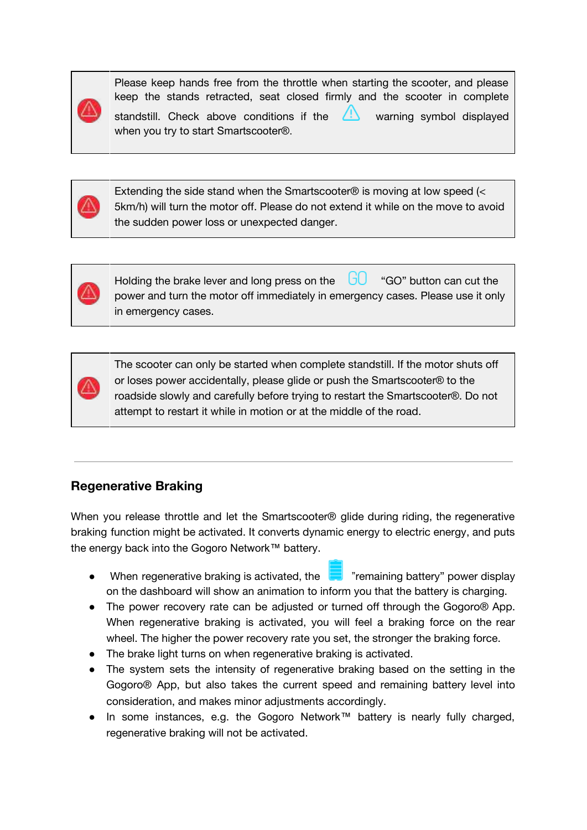Please keep hands free from the throttle when starting the scooter, and please keep the stands retracted, seat closed firmly and the scooter in complete

standstill. Check above conditions if the  $\Box$  warning symbol displayed when you try to start Smartscooter®.

Extending the side stand when the Smartscooter® is moving at low speed (< 5km/h) will turn the motor off. Please do not extend it while on the move to avoid the sudden power loss or unexpected danger.



Holding the brake lever and long press on the  $\Box$  "GO" button can cut the power and turn the motor off immediately in emergency cases. Please use it only in emergency cases.

The scooter can only be started when complete standstill. If the motor shuts off or loses power accidentally, please glide or push the Smartscooter® to the roadside slowly and carefully before trying to restart the Smartscooter®. Do not attempt to restart it while in motion or at the middle of the road.

### <span id="page-13-0"></span>**Regenerative Braking**

When you release throttle and let the Smartscooter® glide during riding, the regenerative braking function might be activated. It converts dynamic energy to electric energy, and puts the energy back into the Gogoro Network™ battery.

- When regenerative braking is activated, the "remaining battery" power display on the dashboard will show an animation to inform you that the battery is charging.
- The power recovery rate can be adjusted or turned off through the Gogoro® App. When regenerative braking is activated, you will feel a braking force on the rear wheel. The higher the power recovery rate you set, the stronger the braking force.
- The brake light turns on when regenerative braking is activated.
- The system sets the intensity of regenerative braking based on the setting in the Gogoro® App, but also takes the current speed and remaining battery level into consideration, and makes minor adjustments accordingly.
- In some instances, e.g. the Gogoro Network™ battery is nearly fully charged, regenerative braking will not be activated.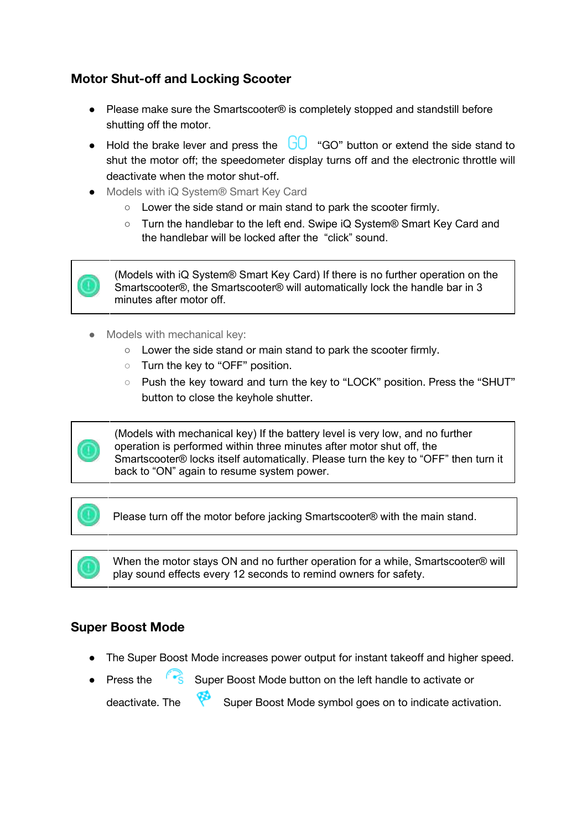### <span id="page-15-0"></span>**Motor Shut-off and Locking Scooter**

- Please make sure the Smartscooter<sup>®</sup> is completely stopped and standstill before shutting off the motor.
- Hold the brake lever and press the  $\overline{G}$  "GO" button or extend the side stand to shut the motor off; the speedometer display turns off and the electronic throttle will deactivate when the motor shut-off.
- Models with iQ System® Smart Key Card
	- Lower the side stand or main stand to park the scooter firmly.
	- Turn the handlebar to the left end. Swipe iQ System® Smart Key Card and the handlebar will be locked after the "click" sound.



(Models with iQ System® Smart Key Card) If there is no further operation on the Smartscooter®, the Smartscooter® will automatically lock the handle bar in 3 minutes after motor off.

- Models with mechanical key:
	- Lower the side stand or main stand to park the scooter firmly.
	- Turn the key to "OFF" position.
	- Push the key toward and turn the key to "LOCK" position. Press the "SHUT" button to close the keyhole shutter.



(Models with mechanical key) If the battery level is very low, and no further operation is performed within three minutes after motor shut off, the Smartscooter® locks itself automatically. Please turn the key to "OFF" then turn it back to "ON" again to resume system power.

Please turn off the motor before jacking Smartscooter® with the main stand.

When the motor stays ON and no further operation for a while, Smartscooter® will play sound effects every 12 seconds to remind owners for safety.

#### <span id="page-15-1"></span>**Super Boost Mode**

- The Super Boost Mode increases power output for instant takeoff and higher speed.
- Press the Super Boost Mode button on the left handle to activate or deactivate. The Super Boost Mode symbol goes on to indicate activation.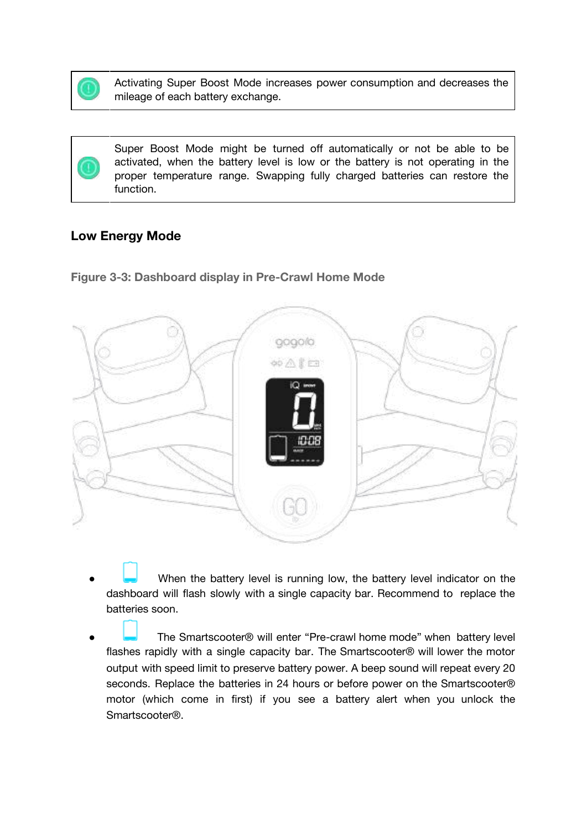

Activating Super Boost Mode increases power consumption and decreases the mileage of each battery exchange.

Super Boost Mode might be turned off automatically or not be able to be activated, when the battery level is low or the battery is not operating in the proper temperature range. Swapping fully charged batteries can restore the function.

#### <span id="page-16-0"></span>**Low Energy Mode**

**Figure 3-3: Dashboard display in Pre-Crawl Home Mode**



- When the battery level is running low, the battery level indicator on the dashboard will flash slowly with a single capacity bar. Recommend to replace the batteries soon.
- The Smartscooter® will enter "Pre-crawl home mode" when battery level flashes rapidly with a single capacity bar. The Smartscooter® will lower the motor output with speed limit to preserve battery power. A beep sound will repeat every 20 seconds. Replace the batteries in 24 hours or before power on the Smartscooter® motor (which come in first) if you see a battery alert when you unlock the Smartscooter®.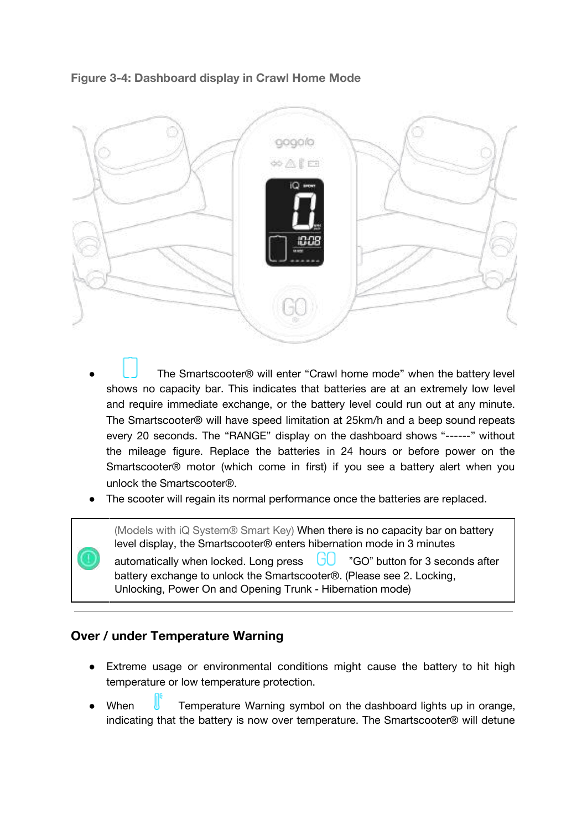

**Figure 3-4: Dashboard display in Crawl Home Mode**

- The Smartscooter® will enter "Crawl home mode" when the battery level shows no capacity bar. This indicates that batteries are at an extremely low level and require immediate exchange, or the battery level could run out at any minute. The Smartscooter® will have speed limitation at 25km/h and a beep sound repeats every 20 seconds. The "RANGE" display on the dashboard shows "------" without the mileage figure. Replace the batteries in 24 hours or before power on the Smartscooter® motor (which come in first) if you see a battery alert when you unlock the Smartscooter®.
- The scooter will regain its normal performance once the batteries are replaced.

(Models with iQ System® Smart Key) When there is no capacity bar on battery level display, the Smartscooter® enters hibernation mode in 3 minutes

automatically when locked. Long press  $\Box$  "GO" button for 3 seconds after battery exchange to unlock the Smartscooter®. (Please see 2. Locking, Unlocking, Power On and Opening Trunk - Hibernation mode)

#### <span id="page-17-0"></span>**Over / under Temperature Warning**

- Extreme usage or environmental conditions might cause the battery to hit high temperature or low temperature protection.
- When  $\blacksquare$  Temperature Warning symbol on the dashboard lights up in orange, indicating that the battery is now over temperature. The Smartscooter® will detune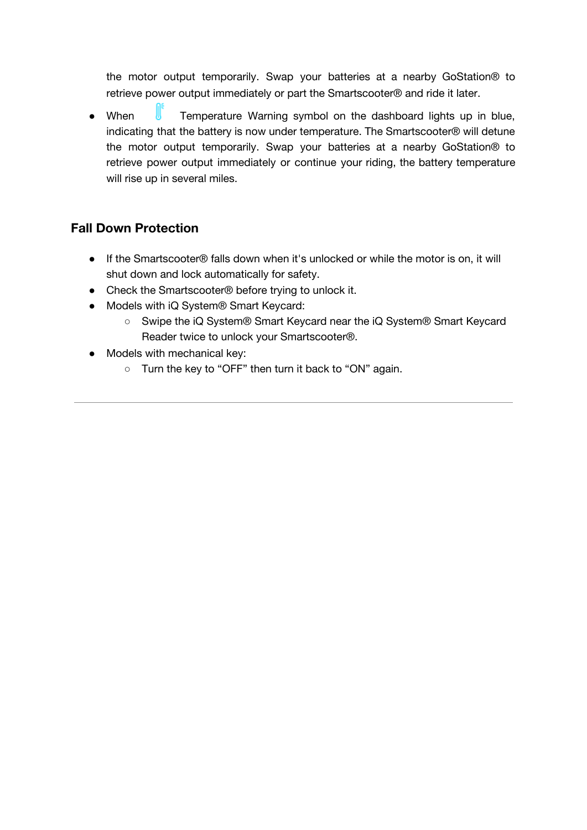the motor output temporarily. Swap your batteries at a nearby GoStation® to retrieve power output immediately or part the Smartscooter® and ride it later.

• When **T**emperature Warning symbol on the dashboard lights up in blue, indicating that the battery is now under temperature. The Smartscooter® will detune the motor output temporarily. Swap your batteries at a nearby GoStation® to retrieve power output immediately or continue your riding, the battery temperature will rise up in several miles.

### <span id="page-18-0"></span>**Fall Down Protection**

- If the Smartscooter® falls down when it's unlocked or while the motor is on, it will shut down and lock automatically for safety.
- Check the Smartscooter<sup>®</sup> before trying to unlock it.
- Models with iQ System® Smart Keycard:
	- Swipe the iQ System® Smart Keycard near the iQ System® Smart Keycard Reader twice to unlock your Smartscooter®.
- Models with mechanical key:
	- Turn the key to "OFF" then turn it back to "ON" again.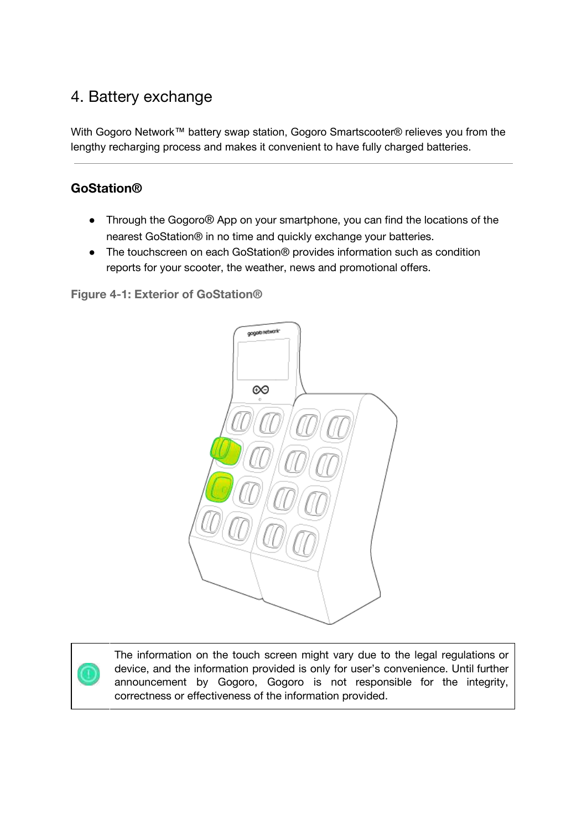# <span id="page-19-0"></span>4. Battery exchange

With Gogoro Network™ battery swap station, Gogoro Smartscooter® relieves you from the lengthy recharging process and makes it convenient to have fully charged batteries.

### <span id="page-19-1"></span>**GoStation®**

- Through the Gogoro® App on your smartphone, you can find the locations of the nearest GoStation® in no time and quickly exchange your batteries.
- The touchscreen on each GoStation<sup>®</sup> provides information such as condition reports for your scooter, the weather, news and promotional offers.

**Figure 4-1: Exterior of GoStation®**



The information on the touch screen might vary due to the legal regulations or device, and the information provided is only for user's convenience. Until further announcement by Gogoro, Gogoro is not responsible for the integrity, correctness or effectiveness of the information provided.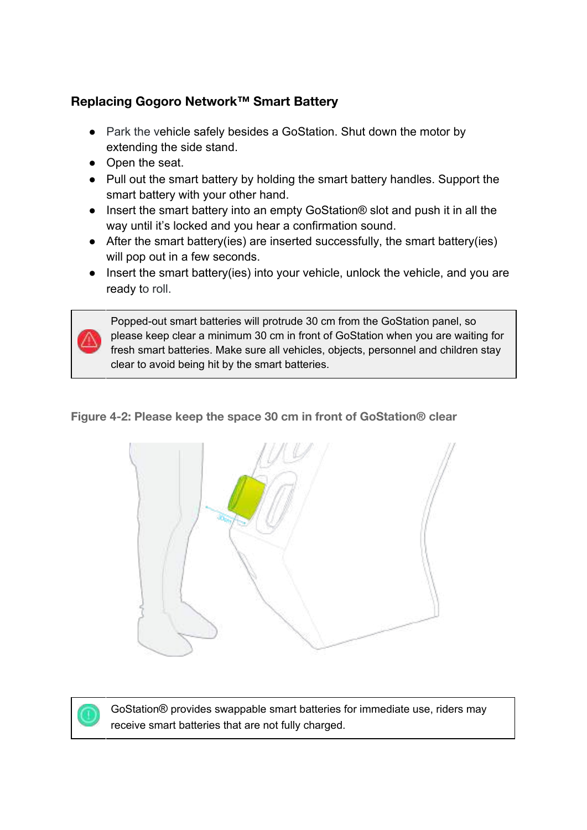## <span id="page-20-0"></span>**Replacing Gogoro Network™ Smart Battery**

- Park the vehicle safely besides a GoStation. Shut down the motor by extending the side stand.
- Open the seat.
- Pull out the smart battery by holding the smart battery handles. Support the smart battery with your other hand.
- Insert the smart battery into an empty GoStation® slot and push it in all the way until it's locked and you hear a confirmation sound.
- After the smart battery(ies) are inserted successfully, the smart battery(ies) will pop out in a few seconds.
- Insert the smart battery(ies) into your vehicle, unlock the vehicle, and you are ready to roll.

Popped-out smart batteries will protrude 30 cm from the GoStation panel, so please keep clear a minimum 30 cm in front of GoStation when you are waiting for fresh smart batteries. Make sure all vehicles, objects, personnel and children stay clear to avoid being hit by the smart batteries.

**Figure 4-2: Please keep the space 30 cm in front of GoStation® clear**





GoStation® provides swappable smart batteries for immediate use, riders may receive smart batteries that are not fully charged.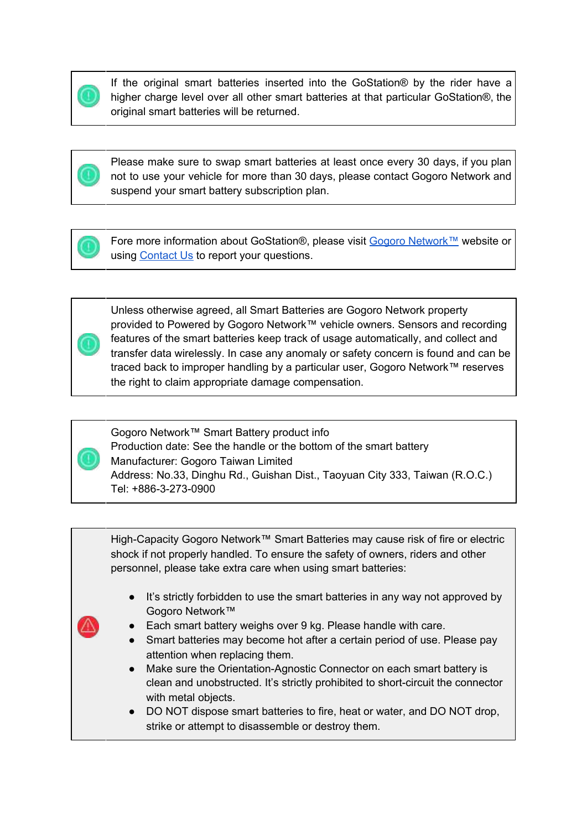

If the original smart batteries inserted into the GoStation® by the rider have a higher charge level over all other smart batteries at that particular GoStation®, the original smart batteries will be returned.



Please make sure to swap smart batteries at least once every 30 days, if you plan not to use your vehicle for more than 30 days, please contact Gogoro Network and suspend your smart battery subscription plan.



Fore more information about GoStation®, please visit Gogoro [Network™](https://network.gogoro.com/tw/en/) website or using [Contact](https://network.gogoro.com/tw/en/contact-us/) Us to report your questions.



Unless otherwise agreed, all Smart Batteries are Gogoro Network property provided to Powered by Gogoro Network™ vehicle owners. Sensors and recording features of the smart batteries keep track of usage automatically, and collect and transfer data wirelessly. In case any anomaly or safety concern is found and can be traced back to improper handling by a particular user, Gogoro Network™ reserves the right to claim appropriate damage compensation.



Gogoro Network™ Smart Battery product info Production date: See the handle or the bottom of the smart battery Manufacturer: Gogoro Taiwan Limited Address: No.33, Dinghu Rd., Guishan Dist., Taoyuan City 333, Taiwan (R.O.C.) Tel: +886-3-273-0900



- It's strictly forbidden to use the smart batteries in any way not approved by Gogoro Network™
- Each smart battery weighs over 9 kg. Please handle with care.
- Smart batteries may become hot after a certain period of use. Please pay attention when replacing them.
- Make sure the Orientation-Agnostic Connector on each smart battery is clean and unobstructed. It's strictly prohibited to short-circuit the connector with metal objects.
- DO NOT dispose smart batteries to fire, heat or water, and DO NOT drop, strike or attempt to disassemble or destroy them.

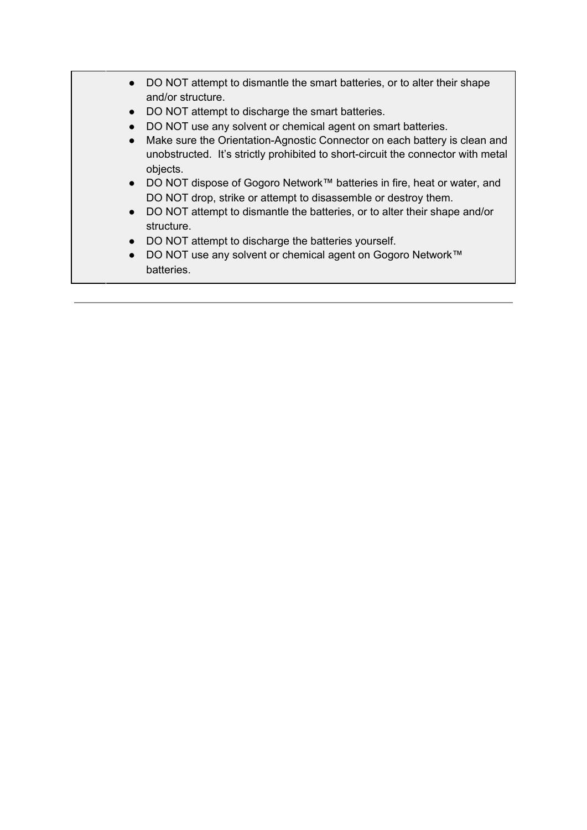|           | DO NOT attempt to dismantle the smart batteries, or to alter their shape<br>and/or structure.                                                                             |
|-----------|---------------------------------------------------------------------------------------------------------------------------------------------------------------------------|
| $\bullet$ | DO NOT attempt to discharge the smart batteries.                                                                                                                          |
|           | DO NOT use any solvent or chemical agent on smart batteries.                                                                                                              |
| $\bullet$ | Make sure the Orientation-Agnostic Connector on each battery is clean and<br>unobstructed. It's strictly prohibited to short-circuit the connector with metal<br>objects. |
| $\bullet$ | DO NOT dispose of Gogoro Network™ batteries in fire, heat or water, and<br>DO NOT drop, strike or attempt to disassemble or destroy them.                                 |
| $\bullet$ | DO NOT attempt to dismantle the batteries, or to alter their shape and/or<br>structure.                                                                                   |
|           | DO NOT attempt to discharge the batteries yourself.                                                                                                                       |
| $\bullet$ | DO NOT use any solvent or chemical agent on Gogoro Network™<br>batteries.                                                                                                 |
|           |                                                                                                                                                                           |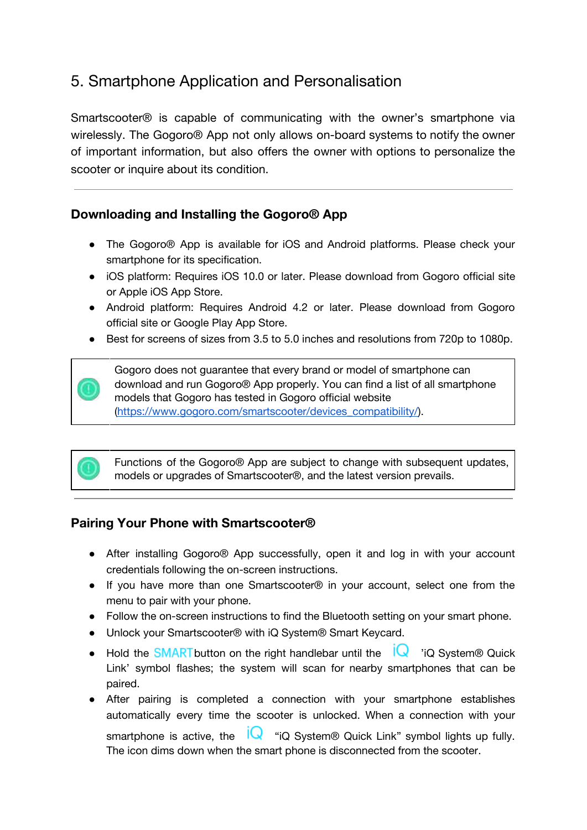# <span id="page-23-0"></span>5. Smartphone Application and Personalisation

Smartscooter® is capable of communicating with the owner's smartphone via wirelessly. The Gogoro® App not only allows on-board systems to notify the owner of important information, but also offers the owner with options to personalize the scooter or inquire about its condition.

#### <span id="page-23-1"></span>**Downloading and Installing the Gogoro® App**

- The Gogoro® App is available for iOS and Android platforms. Please check your smartphone for its specification.
- iOS platform: Requires iOS 10.0 or later. Please download from Gogoro official site or Apple iOS App Store.
- Android platform: Requires Android 4.2 or later. Please download from Gogoro official site or Google Play App Store.
- Best for screens of sizes from 3.5 to 5.0 inches and resolutions from 720p to 1080p.

Gogoro does not guarantee that every brand or model of smartphone can download and run Gogoro® App properly. You can find a list of all smartphone models that Gogoro has tested in Gogoro official website [\(https://www.gogoro.com/smartscooter/devices\\_compatibility/\)](https://www.gogoro.com/smartscooter/devices_compatibility/).



Functions of the Gogoro® App are subject to change with subsequent updates, models or upgrades of Smartscooter®, and the latest version prevails.

#### <span id="page-23-2"></span>**Pairing Your Phone with Smartscooter®**

- After installing Gogoro® App successfully, open it and log in with your account credentials following the on-screen instructions.
- If you have more than one Smartscooter® in your account, select one from the menu to pair with your phone.
- Follow the on-screen instructions to find the Bluetooth setting on your smart phone.
- Unlock your Smartscooter<sup>®</sup> with iQ System<sup>®</sup> Smart Keycard.
- Hold the **SMART** button on the right handlebar until the  $\sqrt{\frac{1}{x}}$  'iQ System® Quick Link' symbol flashes; the system will scan for nearby smartphones that can be paired.
- After pairing is completed a connection with your smartphone establishes automatically every time the scooter is unlocked. When a connection with your smartphone is active, the  $\mathsf{IQ}$  "iQ System® Quick Link" symbol lights up fully. The icon dims down when the smart phone is disconnected from the scooter.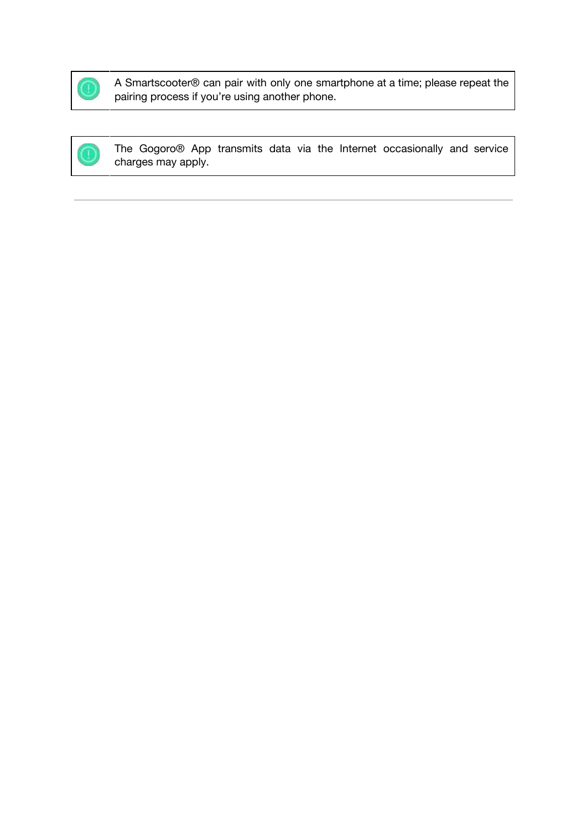

A Smartscooter® can pair with only one smartphone at a time; please repeat the pairing process if you're using another phone.

The Gogoro® App transmits data via the Internet occasionally and service charges may apply.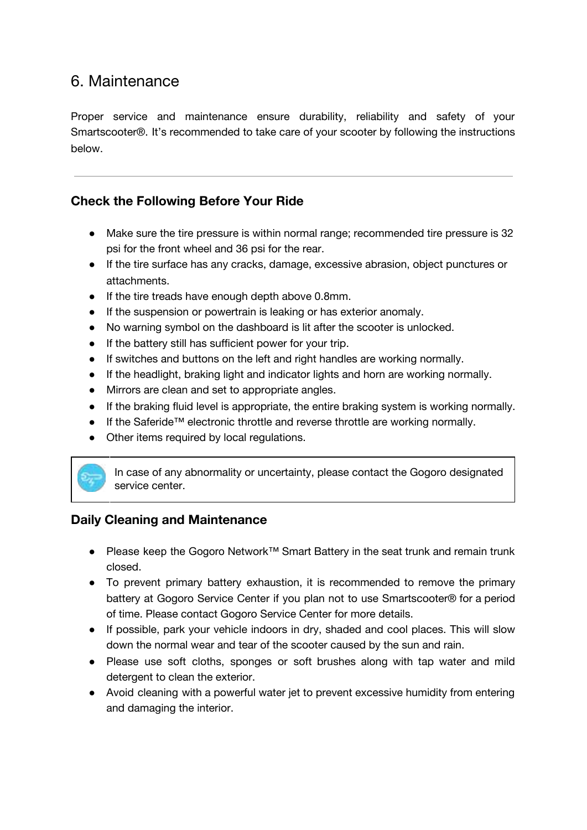# <span id="page-25-0"></span>6. Maintenance

Proper service and maintenance ensure durability, reliability and safety of your Smartscooter®. It's recommended to take care of your scooter by following the instructions below.

### <span id="page-25-1"></span>**Check the Following Before Your Ride**

- Make sure the tire pressure is within normal range; recommended tire pressure is 32 psi for the front wheel and 36 psi for the rear.
- If the tire surface has any cracks, damage, excessive abrasion, object punctures or attachments.
- If the tire treads have enough depth above 0.8mm.
- If the suspension or powertrain is leaking or has exterior anomaly.
- No warning symbol on the dashboard is lit after the scooter is unlocked.
- If the battery still has sufficient power for your trip.
- If switches and buttons on the left and right handles are working normally.
- If the headlight, braking light and indicator lights and horn are working normally.
- Mirrors are clean and set to appropriate angles.
- If the braking fluid level is appropriate, the entire braking system is working normally.
- If the Saferide™ electronic throttle and reverse throttle are working normally.
- Other items required by local regulations.

In case of any abnormality or uncertainty, please contact the Gogoro designated service center.

#### <span id="page-25-2"></span>**Daily Cleaning and Maintenance**

- Please keep the Gogoro Network™ Smart Battery in the seat trunk and remain trunk closed.
- To prevent primary battery exhaustion, it is recommended to remove the primary battery at Gogoro Service Center if you plan not to use Smartscooter® for a period of time. Please contact Gogoro Service Center for more details.
- If possible, park your vehicle indoors in dry, shaded and cool places. This will slow down the normal wear and tear of the scooter caused by the sun and rain.
- Please use soft cloths, sponges or soft brushes along with tap water and mild detergent to clean the exterior.
- Avoid cleaning with a powerful water jet to prevent excessive humidity from entering and damaging the interior.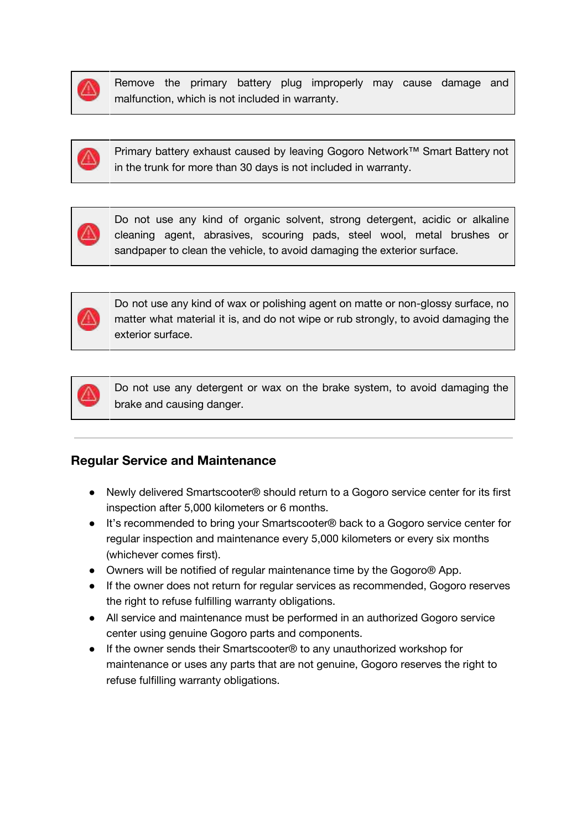

Remove the primary battery plug improperly may cause damage and malfunction, which is not included in warranty.



Primary battery exhaust caused by leaving Gogoro Network™ Smart Battery not in the trunk for more than 30 days is not included in warranty.



Do not use any kind of organic solvent, strong detergent, acidic or alkaline cleaning agent, abrasives, scouring pads, steel wool, metal brushes or sandpaper to clean the vehicle, to avoid damaging the exterior surface.



Do not use any kind of wax or polishing agent on matte or non-glossy surface, no matter what material it is, and do not wipe or rub strongly, to avoid damaging the exterior surface.



Do not use any detergent or wax on the brake system, to avoid damaging the brake and causing danger.

#### <span id="page-26-0"></span>**Regular Service and Maintenance**

- Newly delivered Smartscooter® should return to a Gogoro service center for its first inspection after 5,000 kilometers or 6 months.
- It's recommended to bring your Smartscooter® back to a Gogoro service center for regular inspection and maintenance every 5,000 kilometers or every six months (whichever comes first).
- Owners will be notified of regular maintenance time by the Gogoro® App.
- If the owner does not return for regular services as recommended, Gogoro reserves the right to refuse fulfilling warranty obligations.
- All service and maintenance must be performed in an authorized Gogoro service center using genuine Gogoro parts and components.
- If the owner sends their Smartscooter<sup>®</sup> to any unauthorized workshop for maintenance or uses any parts that are not genuine, Gogoro reserves the right to refuse fulfilling warranty obligations.